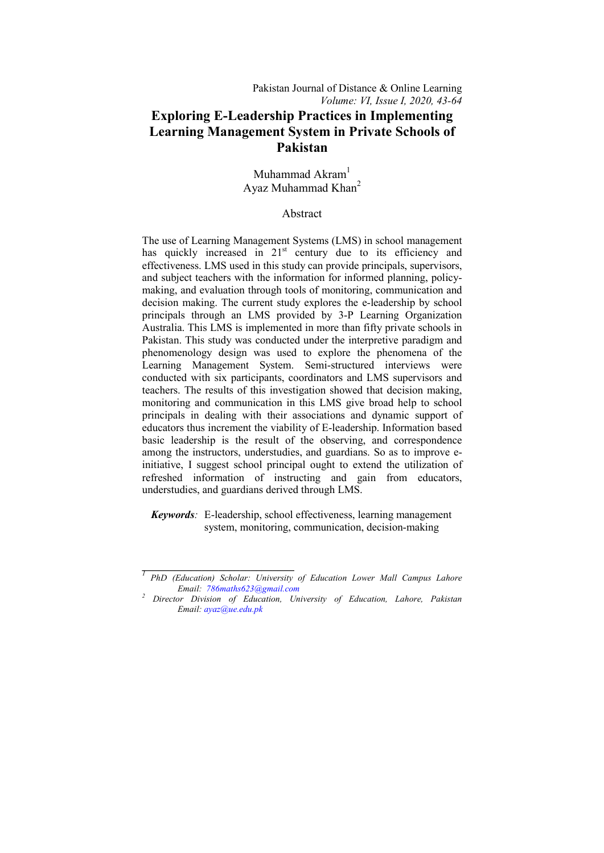Muhammad Akram<sup>1</sup> Ayaz Muhammad Khan $2$ 

## Abstract

The use of Learning Management Systems (LMS) in school management has quickly increased in 21<sup>st</sup> century due to its efficiency and effectiveness. LMS used in this study can provide principals, supervisors, and subject teachers with the information for informed planning, policymaking, and evaluation through tools of monitoring, communication and decision making. The current study explores the e-leadership by school principals through an LMS provided by 3-P Learning Organization Australia. This LMS is implemented in more than fifty private schools in Pakistan. This study was conducted under the interpretive paradigm and phenomenology design was used to explore the phenomena of the Learning Management System. Semi-structured interviews were conducted with six participants, coordinators and LMS supervisors and teachers. The results of this investigation showed that decision making, monitoring and communication in this LMS give broad help to school principals in dealing with their associations and dynamic support of educators thus increment the viability of E-leadership. Information based basic leadership is the result of the observing, and correspondence among the instructors, understudies, and guardians. So as to improve einitiative, I suggest school principal ought to extend the utilization of refreshed information of instructing and gain from educators, understudies, and guardians derived through LMS.

 *Keywords:* E-leadership, school effectiveness, learning management system, monitoring, communication, decision-making

**\_\_\_\_\_\_\_\_\_\_\_\_\_\_\_\_\_\_\_\_\_\_\_\_\_\_\_\_** 

*<sup>1</sup> PhD (Education) Scholar: University of Education Lower Mall Campus Lahore Email: 786maths623@gmail.com <sup>2</sup> Director Division of Education, University of Education, Lahore, Pakistan* 

*Email: ayaz@ue.edu.pk*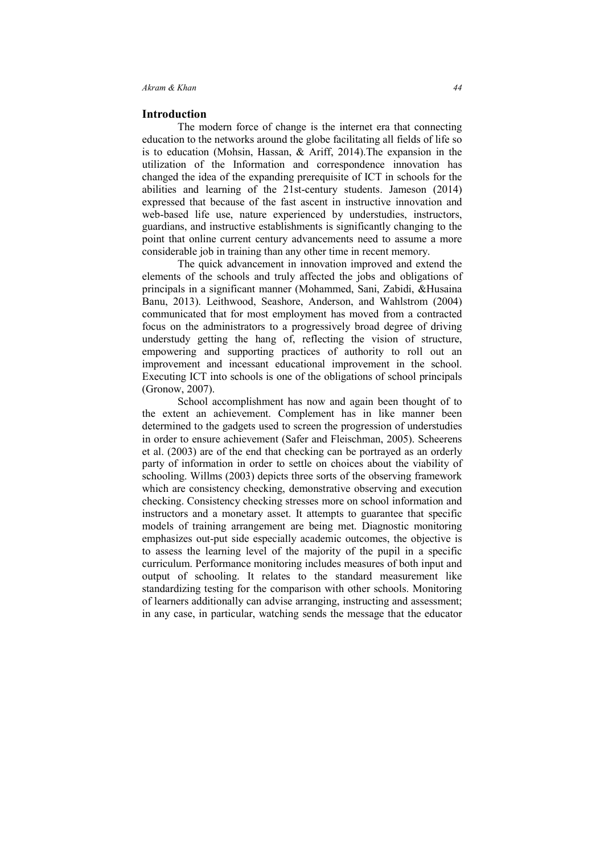#### **Introduction**

The modern force of change is the internet era that connecting education to the networks around the globe facilitating all fields of life so is to education (Mohsin, Hassan, & Ariff, 2014).The expansion in the utilization of the Information and correspondence innovation has changed the idea of the expanding prerequisite of ICT in schools for the abilities and learning of the 21st-century students. Jameson (2014) expressed that because of the fast ascent in instructive innovation and web-based life use, nature experienced by understudies, instructors, guardians, and instructive establishments is significantly changing to the point that online current century advancements need to assume a more considerable job in training than any other time in recent memory.

The quick advancement in innovation improved and extend the elements of the schools and truly affected the jobs and obligations of principals in a significant manner (Mohammed, Sani, Zabidi, &Husaina Banu, 2013). Leithwood, Seashore, Anderson, and Wahlstrom (2004) communicated that for most employment has moved from a contracted focus on the administrators to a progressively broad degree of driving understudy getting the hang of, reflecting the vision of structure, empowering and supporting practices of authority to roll out an improvement and incessant educational improvement in the school. Executing ICT into schools is one of the obligations of school principals (Gronow, 2007).

 School accomplishment has now and again been thought of to the extent an achievement. Complement has in like manner been determined to the gadgets used to screen the progression of understudies in order to ensure achievement (Safer and Fleischman, 2005). Scheerens et al. (2003) are of the end that checking can be portrayed as an orderly party of information in order to settle on choices about the viability of schooling. Willms (2003) depicts three sorts of the observing framework which are consistency checking, demonstrative observing and execution checking. Consistency checking stresses more on school information and instructors and a monetary asset. It attempts to guarantee that specific models of training arrangement are being met. Diagnostic monitoring emphasizes out-put side especially academic outcomes, the objective is to assess the learning level of the majority of the pupil in a specific curriculum. Performance monitoring includes measures of both input and output of schooling. It relates to the standard measurement like standardizing testing for the comparison with other schools. Monitoring of learners additionally can advise arranging, instructing and assessment; in any case, in particular, watching sends the message that the educator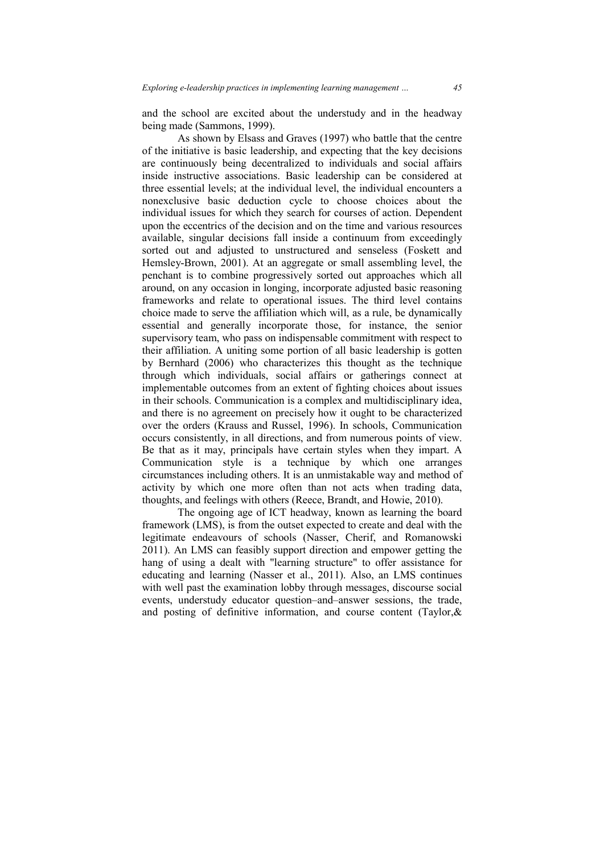and the school are excited about the understudy and in the headway being made (Sammons, 1999).

 As shown by Elsass and Graves (1997) who battle that the centre of the initiative is basic leadership, and expecting that the key decisions are continuously being decentralized to individuals and social affairs inside instructive associations. Basic leadership can be considered at three essential levels; at the individual level, the individual encounters a nonexclusive basic deduction cycle to choose choices about the individual issues for which they search for courses of action. Dependent upon the eccentrics of the decision and on the time and various resources available, singular decisions fall inside a continuum from exceedingly sorted out and adjusted to unstructured and senseless (Foskett and Hemsley-Brown, 2001). At an aggregate or small assembling level, the penchant is to combine progressively sorted out approaches which all around, on any occasion in longing, incorporate adjusted basic reasoning frameworks and relate to operational issues. The third level contains choice made to serve the affiliation which will, as a rule, be dynamically essential and generally incorporate those, for instance, the senior supervisory team, who pass on indispensable commitment with respect to their affiliation. A uniting some portion of all basic leadership is gotten by Bernhard (2006) who characterizes this thought as the technique through which individuals, social affairs or gatherings connect at implementable outcomes from an extent of fighting choices about issues in their schools. Communication is a complex and multidisciplinary idea, and there is no agreement on precisely how it ought to be characterized over the orders (Krauss and Russel, 1996). In schools, Communication occurs consistently, in all directions, and from numerous points of view. Be that as it may, principals have certain styles when they impart. A Communication style is a technique by which one arranges circumstances including others. It is an unmistakable way and method of activity by which one more often than not acts when trading data, thoughts, and feelings with others (Reece, Brandt, and Howie, 2010).

 The ongoing age of ICT headway, known as learning the board framework (LMS), is from the outset expected to create and deal with the legitimate endeavours of schools (Nasser, Cherif, and Romanowski 2011). An LMS can feasibly support direction and empower getting the hang of using a dealt with "learning structure" to offer assistance for educating and learning (Nasser et al., 2011). Also, an LMS continues with well past the examination lobby through messages, discourse social events, understudy educator question–and–answer sessions, the trade, and posting of definitive information, and course content (Taylor,&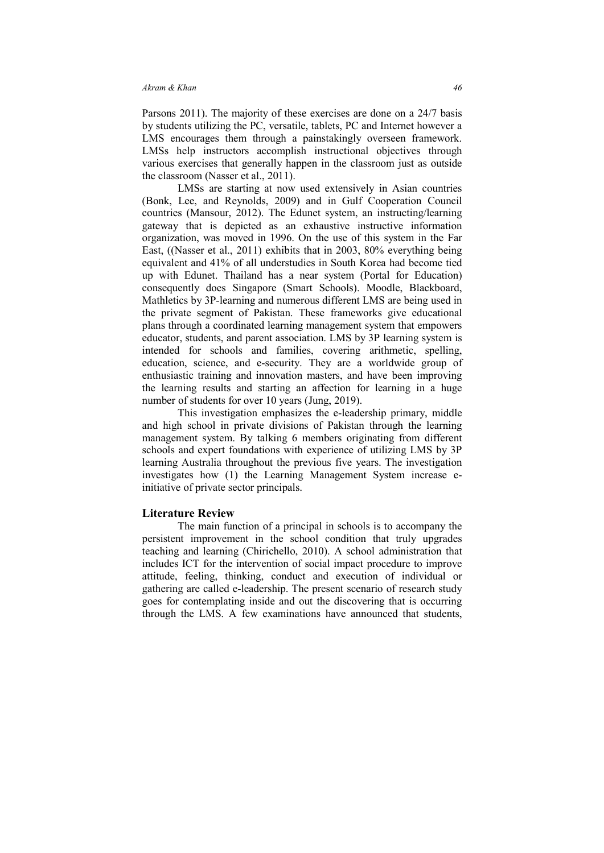Parsons 2011). The majority of these exercises are done on a 24/7 basis by students utilizing the PC, versatile, tablets, PC and Internet however a LMS encourages them through a painstakingly overseen framework. LMSs help instructors accomplish instructional objectives through various exercises that generally happen in the classroom just as outside the classroom (Nasser et al., 2011).

 LMSs are starting at now used extensively in Asian countries (Bonk, Lee, and Reynolds, 2009) and in Gulf Cooperation Council countries (Mansour, 2012). The Edunet system, an instructing/learning gateway that is depicted as an exhaustive instructive information organization, was moved in 1996. On the use of this system in the Far East, ((Nasser et al., 2011) exhibits that in 2003, 80% everything being equivalent and 41% of all understudies in South Korea had become tied up with Edunet. Thailand has a near system (Portal for Education) consequently does Singapore (Smart Schools). Moodle, Blackboard, Mathletics by 3P-learning and numerous different LMS are being used in the private segment of Pakistan. These frameworks give educational plans through a coordinated learning management system that empowers educator, students, and parent association. LMS by 3P learning system is intended for schools and families, covering arithmetic, spelling, education, science, and e-security. They are a worldwide group of enthusiastic training and innovation masters, and have been improving the learning results and starting an affection for learning in a huge number of students for over 10 years (Jung, 2019).

 This investigation emphasizes the e-leadership primary, middle and high school in private divisions of Pakistan through the learning management system. By talking 6 members originating from different schools and expert foundations with experience of utilizing LMS by 3P learning Australia throughout the previous five years. The investigation investigates how (1) the Learning Management System increase einitiative of private sector principals.

## **Literature Review**

 The main function of a principal in schools is to accompany the persistent improvement in the school condition that truly upgrades teaching and learning (Chirichello, 2010). A school administration that includes ICT for the intervention of social impact procedure to improve attitude, feeling, thinking, conduct and execution of individual or gathering are called e-leadership. The present scenario of research study goes for contemplating inside and out the discovering that is occurring through the LMS. A few examinations have announced that students,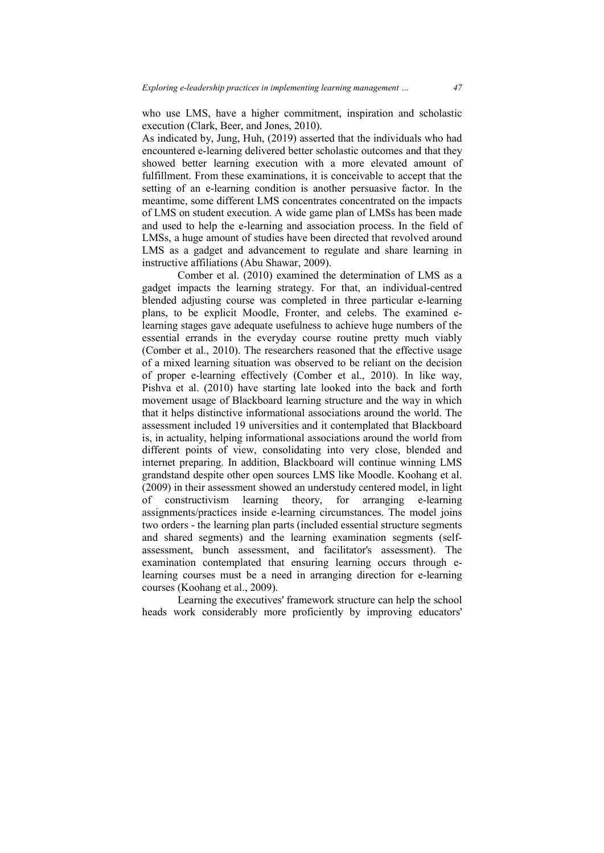who use LMS, have a higher commitment, inspiration and scholastic execution (Clark, Beer, and Jones, 2010).

As indicated by, Jung, Huh, (2019) asserted that the individuals who had encountered e-learning delivered better scholastic outcomes and that they showed better learning execution with a more elevated amount of fulfillment. From these examinations, it is conceivable to accept that the setting of an e-learning condition is another persuasive factor. In the meantime, some different LMS concentrates concentrated on the impacts of LMS on student execution. A wide game plan of LMSs has been made and used to help the e-learning and association process. In the field of LMSs, a huge amount of studies have been directed that revolved around LMS as a gadget and advancement to regulate and share learning in instructive affiliations (Abu Shawar, 2009).

 Comber et al. (2010) examined the determination of LMS as a gadget impacts the learning strategy. For that, an individual-centred blended adjusting course was completed in three particular e-learning plans, to be explicit Moodle, Fronter, and celebs. The examined elearning stages gave adequate usefulness to achieve huge numbers of the essential errands in the everyday course routine pretty much viably (Comber et al., 2010). The researchers reasoned that the effective usage of a mixed learning situation was observed to be reliant on the decision of proper e-learning effectively (Comber et al., 2010). In like way, Pishva et al. (2010) have starting late looked into the back and forth movement usage of Blackboard learning structure and the way in which that it helps distinctive informational associations around the world. The assessment included 19 universities and it contemplated that Blackboard is, in actuality, helping informational associations around the world from different points of view, consolidating into very close, blended and internet preparing. In addition, Blackboard will continue winning LMS grandstand despite other open sources LMS like Moodle. Koohang et al. (2009) in their assessment showed an understudy centered model, in light of constructivism learning theory, for arranging e-learning assignments/practices inside e-learning circumstances. The model joins two orders - the learning plan parts (included essential structure segments and shared segments) and the learning examination segments (selfassessment, bunch assessment, and facilitator's assessment). The examination contemplated that ensuring learning occurs through elearning courses must be a need in arranging direction for e-learning courses (Koohang et al., 2009).

 Learning the executives' framework structure can help the school heads work considerably more proficiently by improving educators'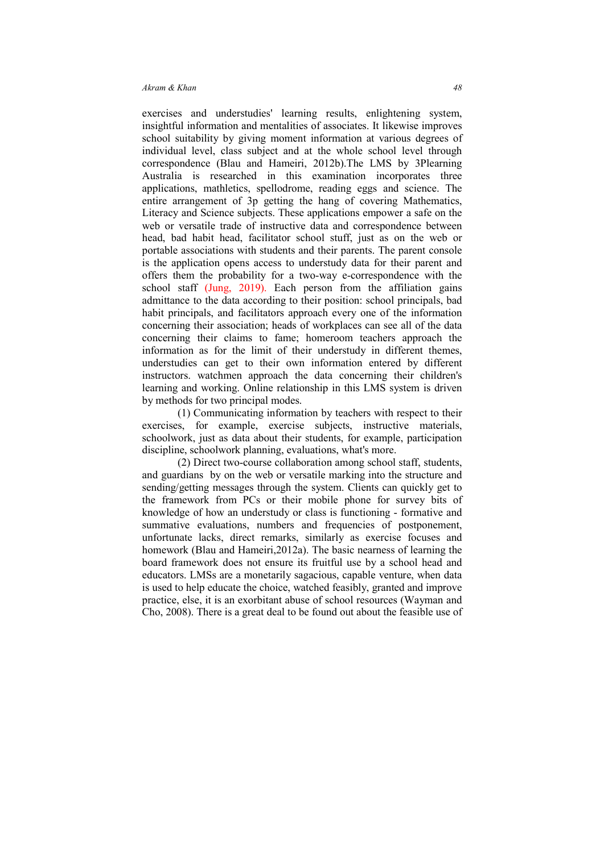exercises and understudies' learning results, enlightening system, insightful information and mentalities of associates. It likewise improves school suitability by giving moment information at various degrees of individual level, class subject and at the whole school level through correspondence (Blau and Hameiri, 2012b).The LMS by 3Plearning Australia is researched in this examination incorporates three applications, mathletics, spellodrome, reading eggs and science. The entire arrangement of 3p getting the hang of covering Mathematics, Literacy and Science subjects. These applications empower a safe on the web or versatile trade of instructive data and correspondence between head, bad habit head, facilitator school stuff, just as on the web or portable associations with students and their parents. The parent console is the application opens access to understudy data for their parent and offers them the probability for a two-way e-correspondence with the school staff (Jung, 2019). Each person from the affiliation gains admittance to the data according to their position: school principals, bad habit principals, and facilitators approach every one of the information concerning their association; heads of workplaces can see all of the data concerning their claims to fame; homeroom teachers approach the information as for the limit of their understudy in different themes, understudies can get to their own information entered by different instructors. watchmen approach the data concerning their children's learning and working. Online relationship in this LMS system is driven by methods for two principal modes.

 (1) Communicating information by teachers with respect to their exercises, for example, exercise subjects, instructive materials, schoolwork, just as data about their students, for example, participation discipline, schoolwork planning, evaluations, what's more.

 (2) Direct two-course collaboration among school staff, students, and guardians by on the web or versatile marking into the structure and sending/getting messages through the system. Clients can quickly get to the framework from PCs or their mobile phone for survey bits of knowledge of how an understudy or class is functioning - formative and summative evaluations, numbers and frequencies of postponement, unfortunate lacks, direct remarks, similarly as exercise focuses and homework (Blau and Hameiri,2012a). The basic nearness of learning the board framework does not ensure its fruitful use by a school head and educators. LMSs are a monetarily sagacious, capable venture, when data is used to help educate the choice, watched feasibly, granted and improve practice, else, it is an exorbitant abuse of school resources (Wayman and Cho, 2008). There is a great deal to be found out about the feasible use of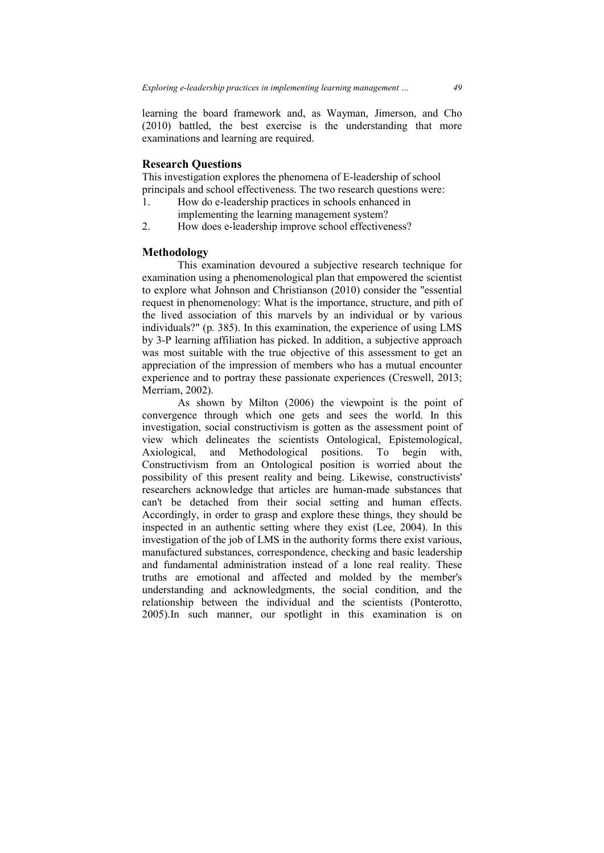learning the board framework and, as Wayman, Jimerson, and Cho (2010) battled, the best exercise is the understanding that more examinations and learning are required.

### **Research Questions**

This investigation explores the phenomena of E-leadership of school principals and school effectiveness. The two research questions were:

- 1. How do e-leadership practices in schools enhanced in implementing the learning management system?
- 2. How does e-leadership improve school effectiveness?

#### **Methodology**

This examination devoured a subjective research technique for examination using a phenomenological plan that empowered the scientist to explore what Johnson and Christianson (2010) consider the "essential request in phenomenology: What is the importance, structure, and pith of the lived association of this marvels by an individual or by various individuals?" (p. 385). In this examination, the experience of using LMS by 3-P learning affiliation has picked. In addition, a subjective approach was most suitable with the true objective of this assessment to get an appreciation of the impression of members who has a mutual encounter experience and to portray these passionate experiences (Creswell, 2013; Merriam, 2002).

 As shown by Milton (2006) the viewpoint is the point of convergence through which one gets and sees the world. In this investigation, social constructivism is gotten as the assessment point of view which delineates the scientists Ontological, Epistemological, Axiological, and Methodological positions. To begin with, Constructivism from an Ontological position is worried about the possibility of this present reality and being. Likewise, constructivists' researchers acknowledge that articles are human-made substances that can't be detached from their social setting and human effects. Accordingly, in order to grasp and explore these things, they should be inspected in an authentic setting where they exist (Lee, 2004). In this investigation of the job of LMS in the authority forms there exist various, manufactured substances, correspondence, checking and basic leadership and fundamental administration instead of a lone real reality. These truths are emotional and affected and molded by the member's understanding and acknowledgments, the social condition, and the relationship between the individual and the scientists (Ponterotto, 2005).In such manner, our spotlight in this examination is on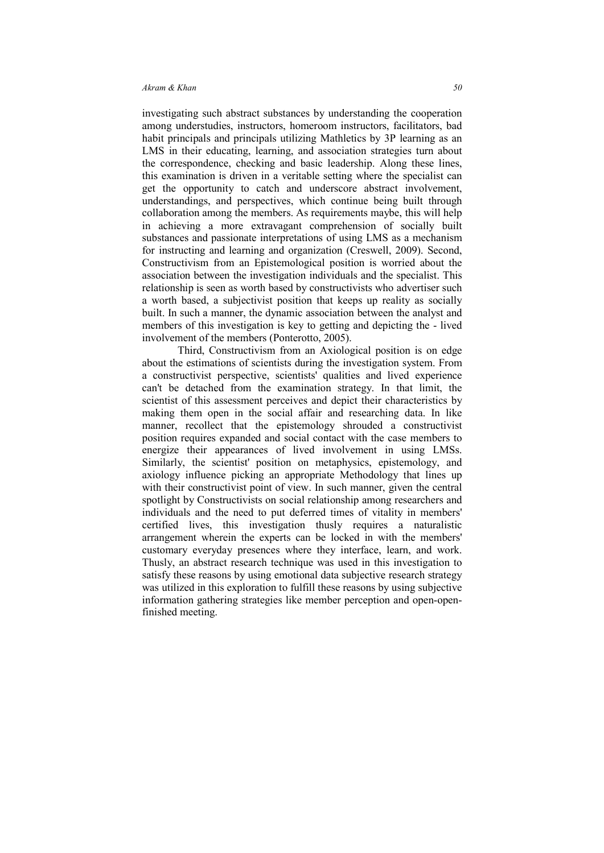investigating such abstract substances by understanding the cooperation among understudies, instructors, homeroom instructors, facilitators, bad habit principals and principals utilizing Mathletics by 3P learning as an LMS in their educating, learning, and association strategies turn about the correspondence, checking and basic leadership. Along these lines, this examination is driven in a veritable setting where the specialist can get the opportunity to catch and underscore abstract involvement, understandings, and perspectives, which continue being built through collaboration among the members. As requirements maybe, this will help in achieving a more extravagant comprehension of socially built substances and passionate interpretations of using LMS as a mechanism for instructing and learning and organization (Creswell, 2009). Second, Constructivism from an Epistemological position is worried about the association between the investigation individuals and the specialist. This relationship is seen as worth based by constructivists who advertiser such a worth based, a subjectivist position that keeps up reality as socially built. In such a manner, the dynamic association between the analyst and members of this investigation is key to getting and depicting the - lived involvement of the members (Ponterotto, 2005).

 Third, Constructivism from an Axiological position is on edge about the estimations of scientists during the investigation system. From a constructivist perspective, scientists' qualities and lived experience can't be detached from the examination strategy. In that limit, the scientist of this assessment perceives and depict their characteristics by making them open in the social affair and researching data. In like manner, recollect that the epistemology shrouded a constructivist position requires expanded and social contact with the case members to energize their appearances of lived involvement in using LMSs. Similarly, the scientist' position on metaphysics, epistemology, and axiology influence picking an appropriate Methodology that lines up with their constructivist point of view. In such manner, given the central spotlight by Constructivists on social relationship among researchers and individuals and the need to put deferred times of vitality in members' certified lives, this investigation thusly requires a naturalistic arrangement wherein the experts can be locked in with the members' customary everyday presences where they interface, learn, and work. Thusly, an abstract research technique was used in this investigation to satisfy these reasons by using emotional data subjective research strategy was utilized in this exploration to fulfill these reasons by using subjective information gathering strategies like member perception and open-openfinished meeting.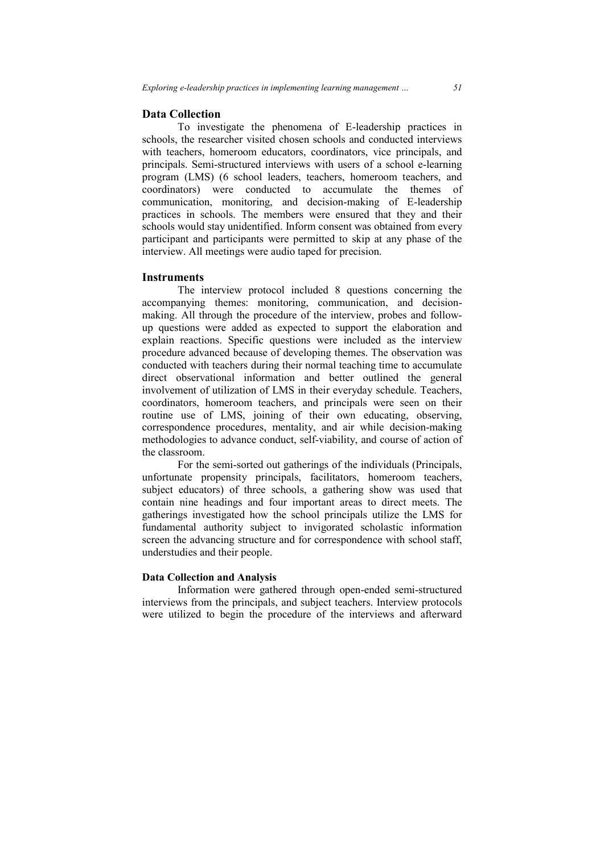## **Data Collection**

 To investigate the phenomena of E-leadership practices in schools, the researcher visited chosen schools and conducted interviews with teachers, homeroom educators, coordinators, vice principals, and principals. Semi-structured interviews with users of a school e-learning program (LMS) (6 school leaders, teachers, homeroom teachers, and coordinators) were conducted to accumulate the themes of communication, monitoring, and decision-making of E-leadership practices in schools. The members were ensured that they and their schools would stay unidentified. Inform consent was obtained from every participant and participants were permitted to skip at any phase of the interview. All meetings were audio taped for precision.

## **Instruments**

 The interview protocol included 8 questions concerning the accompanying themes: monitoring, communication, and decisionmaking. All through the procedure of the interview, probes and followup questions were added as expected to support the elaboration and explain reactions. Specific questions were included as the interview procedure advanced because of developing themes. The observation was conducted with teachers during their normal teaching time to accumulate direct observational information and better outlined the general involvement of utilization of LMS in their everyday schedule. Teachers, coordinators, homeroom teachers, and principals were seen on their routine use of LMS, joining of their own educating, observing, correspondence procedures, mentality, and air while decision-making methodologies to advance conduct, self-viability, and course of action of the classroom.

For the semi-sorted out gatherings of the individuals (Principals, unfortunate propensity principals, facilitators, homeroom teachers, subject educators) of three schools, a gathering show was used that contain nine headings and four important areas to direct meets. The gatherings investigated how the school principals utilize the LMS for fundamental authority subject to invigorated scholastic information screen the advancing structure and for correspondence with school staff, understudies and their people.

### **Data Collection and Analysis**

Information were gathered through open-ended semi-structured interviews from the principals, and subject teachers. Interview protocols were utilized to begin the procedure of the interviews and afterward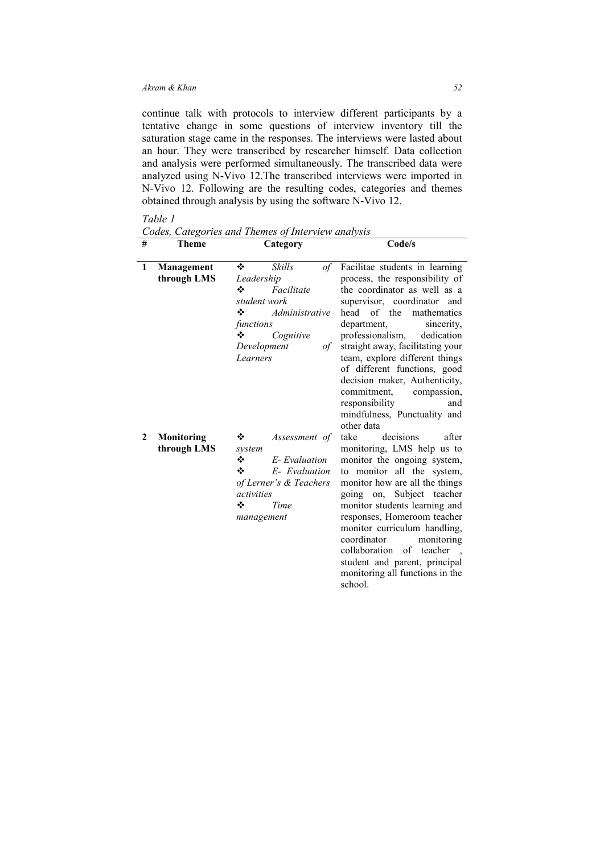continue talk with protocols to interview different participants by a tentative change in some questions of interview inventory till the saturation stage came in the responses. The interviews were lasted about an hour. They were transcribed by researcher himself. Data collection and analysis were performed simultaneously. The transcribed data were analyzed using N-Vivo 12.The transcribed interviews were imported in N-Vivo 12. Following are the resulting codes, categories and themes obtained through analysis by using the software N-Vivo 12.

# *Table 1*

*Codes, Categories and Themes of Interview analysis* 

| # | Theme             | Category                                                   |                | Code/s                                      |
|---|-------------------|------------------------------------------------------------|----------------|---------------------------------------------|
| 1 | <b>Management</b> | ❖                                                          | Skills<br>$of$ | Facilitae students in learning              |
|   | through LMS       | Leadership                                                 |                | process, the responsibility of              |
|   |                   | ❖                                                          | Facilitate     | the coordinator as well as a                |
|   |                   | student work                                               |                | supervisor, coordinator<br>and              |
|   |                   | ❖                                                          | Administrative | of the<br>head<br>mathematics               |
|   |                   | functions                                                  |                | sincerity,<br>department,                   |
|   |                   | ❖                                                          | Cognitive      | professionalism,<br>dedication              |
|   |                   | Development<br>of                                          |                | straight away, facilitating your            |
|   |                   | Learners                                                   |                | team, explore different things              |
|   |                   |                                                            |                | of different functions, good                |
|   |                   |                                                            |                | decision maker, Authenticity,               |
|   |                   |                                                            |                | commitment.<br>compassion,                  |
|   |                   |                                                            |                | responsibility<br>and                       |
|   |                   |                                                            |                | mindfulness, Punctuality and                |
|   |                   |                                                            |                | other data                                  |
| 2 | <b>Monitoring</b> | ❖                                                          | Assessment of  | decisions<br>after<br>take                  |
|   | through LMS       | system                                                     |                | monitoring, LMS help us to                  |
|   |                   | ❖                                                          | E-Evaluation   | monitor the ongoing system,                 |
|   |                   | ❖<br>E- Evaluation<br>of Lerner's & Teachers<br>activities |                | monitor all the system,<br>to               |
|   |                   |                                                            |                | monitor how are all the things              |
|   |                   |                                                            |                | going on, Subject teacher                   |
|   |                   | ❖                                                          | Time           | monitor students learning and               |
|   |                   | management                                                 |                | responses, Homeroom teacher                 |
|   |                   |                                                            |                | monitor curriculum handling,<br>coordinator |
|   |                   |                                                            |                | monitoring                                  |
|   |                   |                                                            |                | collaboration of teacher                    |
|   |                   |                                                            |                | student and parent, principal               |
|   |                   |                                                            |                | monitoring all functions in the             |
|   |                   |                                                            |                | school.                                     |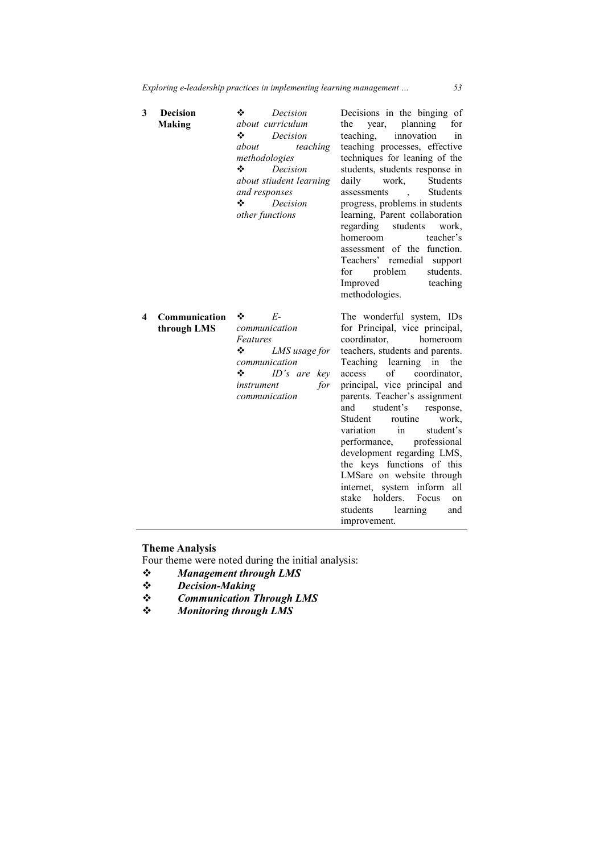| 3 | <b>Decision</b><br><b>Making</b> | ❖<br>Decision<br>about curriculum<br>❖<br>Decision<br>about<br>teaching<br>methodologies<br>❖<br>Decision<br>about stiudent learning<br>and responses<br>❖<br>Decision<br>other functions | Decisions in the binging of<br>planning<br>the<br>year,<br>for<br>innovation<br>teaching.<br>1n<br>teaching processes, effective<br>techniques for leaning of the<br>students, students response in<br>daily<br>work,<br>Students<br><b>Students</b><br>assessments<br>$\sim$ $\sim$<br>progress, problems in students<br>learning, Parent collaboration<br>regarding<br>students<br>work,<br>teacher's<br>homeroom<br>assessment of the function.<br>Teachers' remedial<br>support<br>students.<br>problem<br>for<br>Improved<br>teaching<br>methodologies.                                                          |
|---|----------------------------------|-------------------------------------------------------------------------------------------------------------------------------------------------------------------------------------------|-----------------------------------------------------------------------------------------------------------------------------------------------------------------------------------------------------------------------------------------------------------------------------------------------------------------------------------------------------------------------------------------------------------------------------------------------------------------------------------------------------------------------------------------------------------------------------------------------------------------------|
| 4 | Communication<br>through LMS     | E-<br>❖<br>communication<br>Features<br>❖<br>LMS usage for<br>communication<br>❖<br>ID's are key<br>for<br>instrument<br>communication                                                    | The wonderful system, IDs<br>for Principal, vice principal,<br>coordinator.<br>homeroom<br>teachers, students and parents.<br>Teaching learning<br>in<br>the<br>$\sigma$ of<br>coordinator,<br>access<br>principal, vice principal and<br>parents. Teacher's assignment<br>and<br>student's<br>response,<br>Student<br>routine<br>work,<br>in<br>variation<br>student's<br>professional<br>performance,<br>development regarding LMS,<br>the keys functions of this<br>LMSare on website through<br>internet, system inform<br>all<br>stake<br>holders.<br>Focus<br>on<br>students<br>learning<br>and<br>improvement. |

#### **Theme Analysis**

Four theme were noted during the initial analysis:

- *❖ Management through LMS*<br>*❖ Decision-Making*
- *Decision-Making*
- *Communication Through LMS*
- *Monitoring through LMS*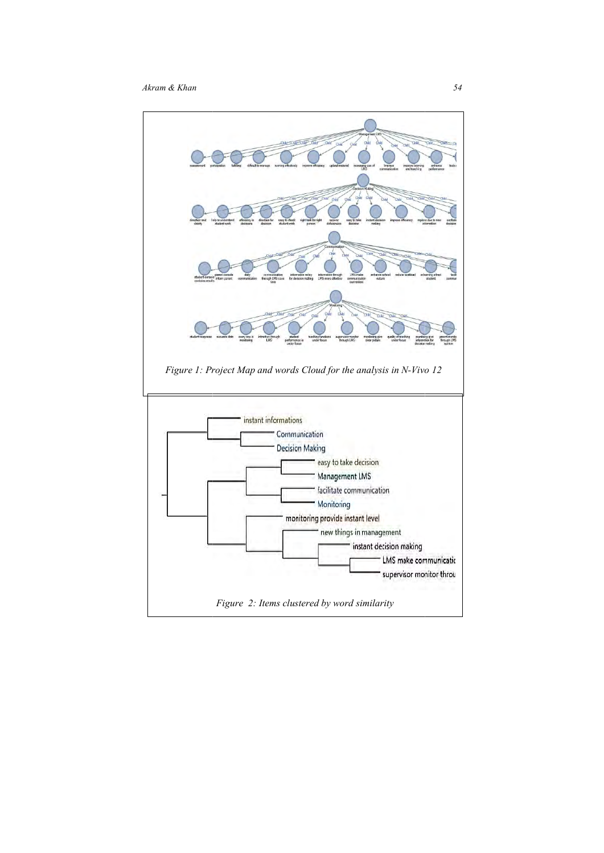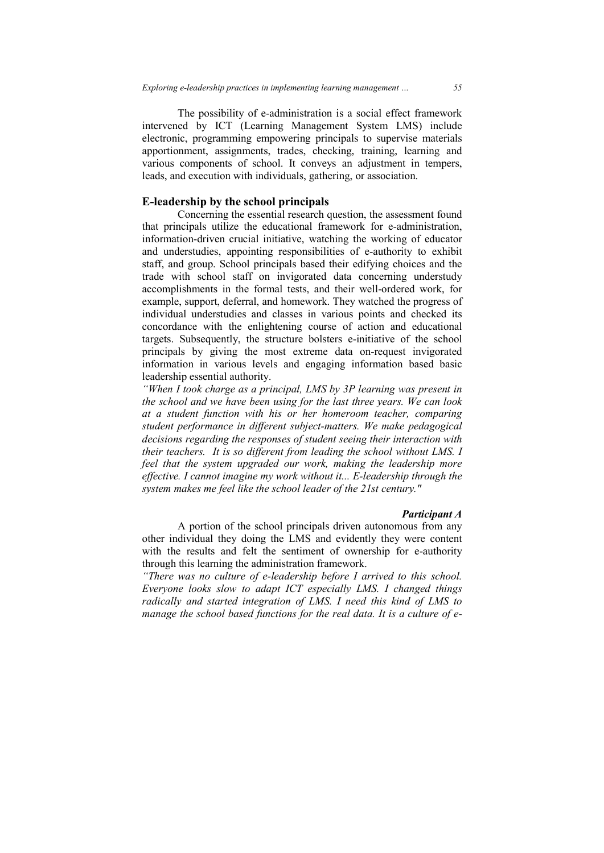The possibility of e-administration is a social effect framework intervened by ICT (Learning Management System LMS) include electronic, programming empowering principals to supervise materials apportionment, assignments, trades, checking, training, learning and various components of school. It conveys an adjustment in tempers, leads, and execution with individuals, gathering, or association.

## **E-leadership by the school principals**

Concerning the essential research question, the assessment found that principals utilize the educational framework for e-administration, information-driven crucial initiative, watching the working of educator and understudies, appointing responsibilities of e-authority to exhibit staff, and group. School principals based their edifying choices and the trade with school staff on invigorated data concerning understudy accomplishments in the formal tests, and their well-ordered work, for example, support, deferral, and homework. They watched the progress of individual understudies and classes in various points and checked its concordance with the enlightening course of action and educational targets. Subsequently, the structure bolsters e-initiative of the school principals by giving the most extreme data on-request invigorated information in various levels and engaging information based basic leadership essential authority.

*"When I took charge as a principal, LMS by 3P learning was present in the school and we have been using for the last three years. We can look at a student function with his or her homeroom teacher, comparing student performance in different subject-matters. We make pedagogical decisions regarding the responses of student seeing their interaction with their teachers. It is so different from leading the school without LMS. I feel that the system upgraded our work, making the leadership more effective. I cannot imagine my work without it... E-leadership through the system makes me feel like the school leader of the 21st century."* 

# *Participant A*

A portion of the school principals driven autonomous from any other individual they doing the LMS and evidently they were content with the results and felt the sentiment of ownership for e-authority through this learning the administration framework.

*"There was no culture of e-leadership before I arrived to this school. Everyone looks slow to adapt ICT especially LMS. I changed things radically and started integration of LMS. I need this kind of LMS to manage the school based functions for the real data. It is a culture of e-*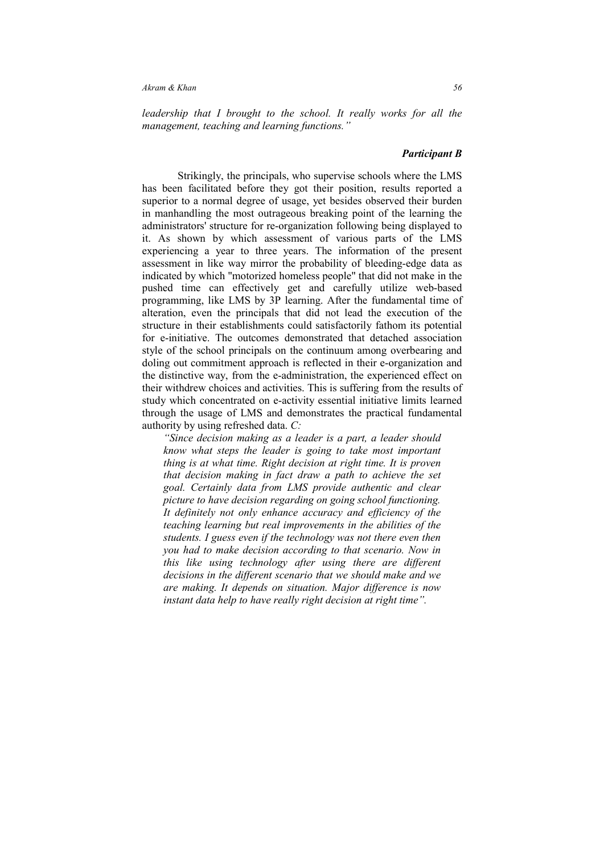*leadership that I brought to the school. It really works for all the management, teaching and learning functions."* 

### *Participant B*

Strikingly, the principals, who supervise schools where the LMS has been facilitated before they got their position, results reported a superior to a normal degree of usage, yet besides observed their burden in manhandling the most outrageous breaking point of the learning the administrators' structure for re-organization following being displayed to it. As shown by which assessment of various parts of the LMS experiencing a year to three years. The information of the present assessment in like way mirror the probability of bleeding-edge data as indicated by which "motorized homeless people" that did not make in the pushed time can effectively get and carefully utilize web-based programming, like LMS by 3P learning. After the fundamental time of alteration, even the principals that did not lead the execution of the structure in their establishments could satisfactorily fathom its potential for e-initiative. The outcomes demonstrated that detached association style of the school principals on the continuum among overbearing and doling out commitment approach is reflected in their e-organization and the distinctive way, from the e-administration, the experienced effect on their withdrew choices and activities. This is suffering from the results of study which concentrated on e-activity essential initiative limits learned through the usage of LMS and demonstrates the practical fundamental authority by using refreshed data. *C:* 

*"Since decision making as a leader is a part, a leader should know what steps the leader is going to take most important thing is at what time. Right decision at right time. It is proven that decision making in fact draw a path to achieve the set goal. Certainly data from LMS provide authentic and clear picture to have decision regarding on going school functioning. It definitely not only enhance accuracy and efficiency of the teaching learning but real improvements in the abilities of the students. I guess even if the technology was not there even then you had to make decision according to that scenario. Now in this like using technology after using there are different decisions in the different scenario that we should make and we are making. It depends on situation. Major difference is now instant data help to have really right decision at right time".*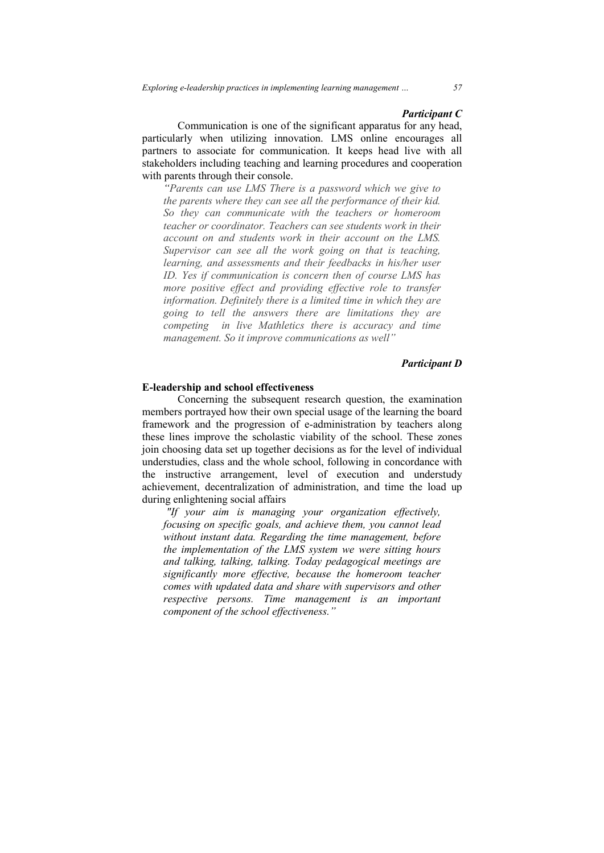#### *Participant C*

Communication is one of the significant apparatus for any head, particularly when utilizing innovation. LMS online encourages all partners to associate for communication. It keeps head live with all stakeholders including teaching and learning procedures and cooperation with parents through their console.

*"Parents can use LMS There is a password which we give to the parents where they can see all the performance of their kid. So they can communicate with the teachers or homeroom teacher or coordinator. Teachers can see students work in their account on and students work in their account on the LMS. Supervisor can see all the work going on that is teaching, learning, and assessments and their feedbacks in his/her user ID. Yes if communication is concern then of course LMS has more positive effect and providing effective role to transfer information. Definitely there is a limited time in which they are going to tell the answers there are limitations they are competing in live Mathletics there is accuracy and time management. So it improve communications as well"* 

### *Participant D*

### **E-leadership and school effectiveness**

 Concerning the subsequent research question, the examination members portrayed how their own special usage of the learning the board framework and the progression of e-administration by teachers along these lines improve the scholastic viability of the school. These zones join choosing data set up together decisions as for the level of individual understudies, class and the whole school, following in concordance with the instructive arrangement, level of execution and understudy achievement, decentralization of administration, and time the load up during enlightening social affairs

 *"If your aim is managing your organization effectively, focusing on specific goals, and achieve them, you cannot lead without instant data. Regarding the time management, before the implementation of the LMS system we were sitting hours and talking, talking, talking. Today pedagogical meetings are significantly more effective, because the homeroom teacher comes with updated data and share with supervisors and other respective persons. Time management is an important component of the school effectiveness."*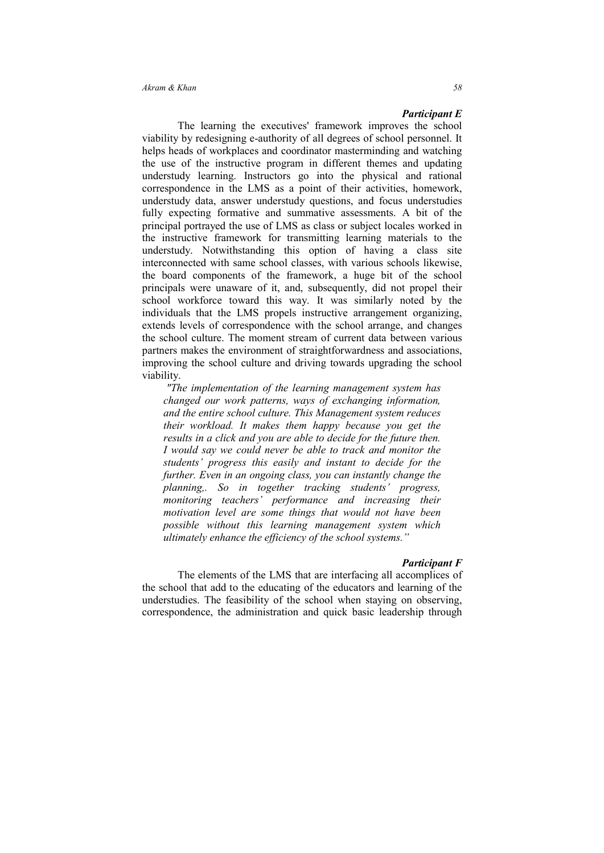#### *Participant E*

 The learning the executives' framework improves the school viability by redesigning e-authority of all degrees of school personnel. It helps heads of workplaces and coordinator masterminding and watching the use of the instructive program in different themes and updating understudy learning. Instructors go into the physical and rational correspondence in the LMS as a point of their activities, homework, understudy data, answer understudy questions, and focus understudies fully expecting formative and summative assessments. A bit of the principal portrayed the use of LMS as class or subject locales worked in the instructive framework for transmitting learning materials to the understudy. Notwithstanding this option of having a class site interconnected with same school classes, with various schools likewise, the board components of the framework, a huge bit of the school principals were unaware of it, and, subsequently, did not propel their school workforce toward this way. It was similarly noted by the individuals that the LMS propels instructive arrangement organizing, extends levels of correspondence with the school arrange, and changes the school culture. The moment stream of current data between various partners makes the environment of straightforwardness and associations, improving the school culture and driving towards upgrading the school viability.

 *"The implementation of the learning management system has changed our work patterns, ways of exchanging information, and the entire school culture. This Management system reduces their workload. It makes them happy because you get the results in a click and you are able to decide for the future then. I would say we could never be able to track and monitor the students' progress this easily and instant to decide for the further. Even in an ongoing class, you can instantly change the planning,. So in together tracking students' progress, monitoring teachers' performance and increasing their motivation level are some things that would not have been possible without this learning management system which ultimately enhance the efficiency of the school systems."* 

### *Participant F*

The elements of the LMS that are interfacing all accomplices of the school that add to the educating of the educators and learning of the understudies. The feasibility of the school when staying on observing, correspondence, the administration and quick basic leadership through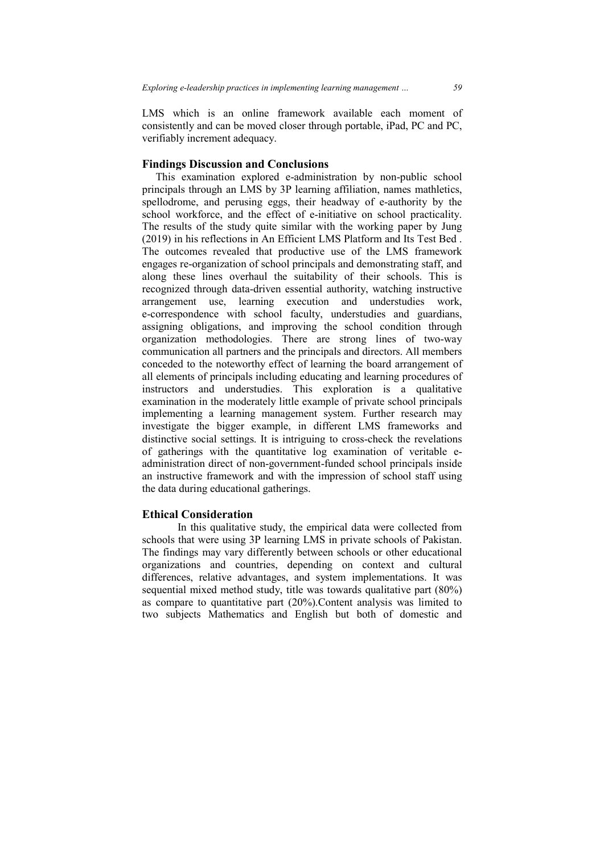LMS which is an online framework available each moment of consistently and can be moved closer through portable, iPad, PC and PC, verifiably increment adequacy.

### **Findings Discussion and Conclusions**

 This examination explored e-administration by non-public school principals through an LMS by 3P learning affiliation, names mathletics, spellodrome, and perusing eggs, their headway of e-authority by the school workforce, and the effect of e-initiative on school practicality. The results of the study quite similar with the working paper by Jung (2019) in his reflections in An Efficient LMS Platform and Its Test Bed . The outcomes revealed that productive use of the LMS framework engages re-organization of school principals and demonstrating staff, and along these lines overhaul the suitability of their schools. This is recognized through data-driven essential authority, watching instructive arrangement use, learning execution and understudies work, e-correspondence with school faculty, understudies and guardians, assigning obligations, and improving the school condition through organization methodologies. There are strong lines of two-way communication all partners and the principals and directors. All members conceded to the noteworthy effect of learning the board arrangement of all elements of principals including educating and learning procedures of instructors and understudies. This exploration is a qualitative examination in the moderately little example of private school principals implementing a learning management system. Further research may investigate the bigger example, in different LMS frameworks and distinctive social settings. It is intriguing to cross-check the revelations of gatherings with the quantitative log examination of veritable eadministration direct of non-government-funded school principals inside an instructive framework and with the impression of school staff using the data during educational gatherings.

## **Ethical Consideration**

 In this qualitative study, the empirical data were collected from schools that were using 3P learning LMS in private schools of Pakistan. The findings may vary differently between schools or other educational organizations and countries, depending on context and cultural differences, relative advantages, and system implementations. It was sequential mixed method study, title was towards qualitative part (80%) as compare to quantitative part (20%).Content analysis was limited to two subjects Mathematics and English but both of domestic and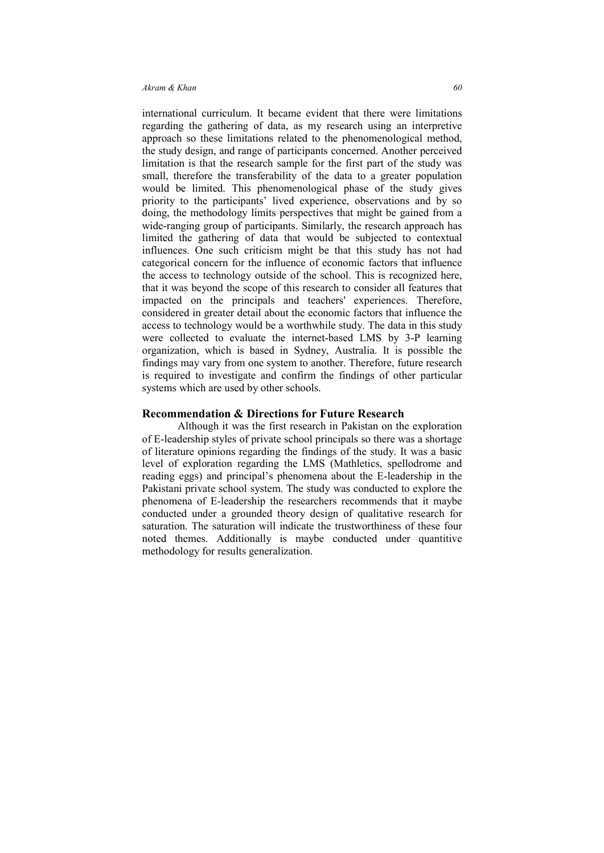#### *Akram & Khan* 60 *60*

international curriculum. It became evident that there were limitations regarding the gathering of data, as my research using an interpretive approach so these limitations related to the phenomenological method, the study design, and range of participants concerned. Another perceived limitation is that the research sample for the first part of the study was small, therefore the transferability of the data to a greater population would be limited. This phenomenological phase of the study gives priority to the participants' lived experience, observations and by so doing, the methodology limits perspectives that might be gained from a wide-ranging group of participants. Similarly, the research approach has limited the gathering of data that would be subjected to contextual influences. One such criticism might be that this study has not had categorical concern for the influence of economic factors that influence the access to technology outside of the school. This is recognized here, that it was beyond the scope of this research to consider all features that impacted on the principals and teachers' experiences. Therefore, considered in greater detail about the economic factors that influence the access to technology would be a worthwhile study. The data in this study were collected to evaluate the internet-based LMS by 3-P learning organization, which is based in Sydney, Australia. It is possible the findings may vary from one system to another. Therefore, future research is required to investigate and confirm the findings of other particular systems which are used by other schools.

#### **Recommendation & Directions for Future Research**

Although it was the first research in Pakistan on the exploration of E-leadership styles of private school principals so there was a shortage of literature opinions regarding the findings of the study. It was a basic level of exploration regarding the LMS (Mathletics, spellodrome and reading eggs) and principal's phenomena about the E-leadership in the Pakistani private school system. The study was conducted to explore the phenomena of E-leadership the researchers recommends that it maybe conducted under a grounded theory design of qualitative research for saturation. The saturation will indicate the trustworthiness of these four noted themes. Additionally is maybe conducted under quantitive methodology for results generalization.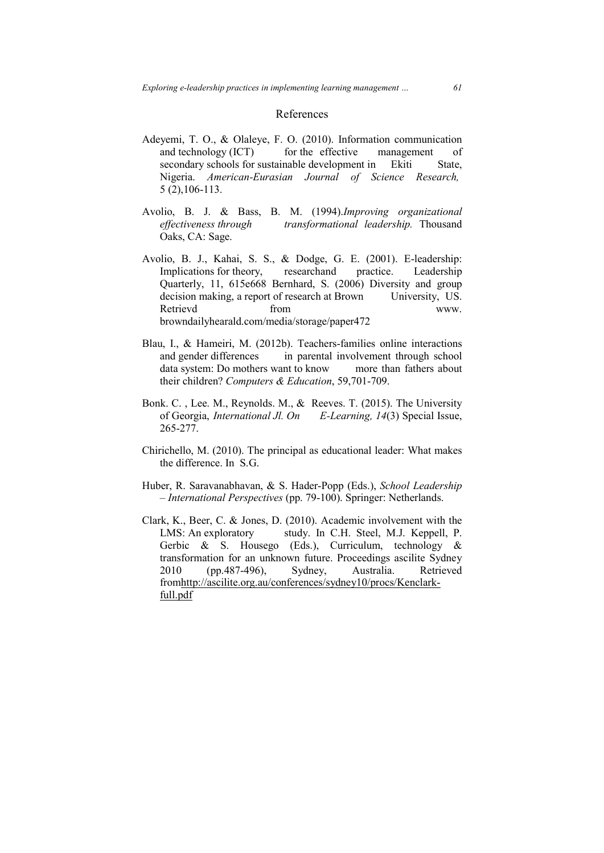#### References

- Adeyemi, T. O., & Olaleye, F. O. (2010). Information communication and technology (ICT) for the effective management of secondary schools for sustainable development in Ekiti State, Nigeria. *American-Eurasian Journal of Science Research,* 5 (2),106-113.
- Avolio, B. J. & Bass, B. M. (1994).*Improving organizational effectiveness through transformational leadership.* Thousand Oaks, CA: Sage.
- Avolio, B. J., Kahai, S. S., & Dodge, G. E. (2001). E-leadership: Implications for theory, researchand practice. Leadership Quarterly, 11, 615e668 Bernhard, S. (2006) Diversity and group decision making, a report of research at Brown University, US. Retrievd from www. browndailyhearald.com/media/storage/paper472
- Blau, I., & Hameiri, M. (2012b). Teachers-families online interactions and gender differences in parental involvement through school data system: Do mothers want to know more than fathers about their children? *Computers & Education*, 59,701-709.
- Bonk. C. , Lee. M., Reynolds. M., & Reeves. T. (2015). The University of Georgia, *International Jl. On E-Learning, 14*(3) Special Issue, 265-277.
- Chirichello, M. (2010). The principal as educational leader: What makes the difference. In S.G.
- Huber, R. Saravanabhavan, & S. Hader-Popp (Eds.), *School Leadership – International Perspectives* (pp. 79-100). Springer: Netherlands.
- Clark, K., Beer, C. & Jones, D. (2010). Academic involvement with the LMS: An exploratory study. In C.H. Steel, M.J. Keppell, P. Gerbic & S. Housego (Eds.), Curriculum, technology & transformation for an unknown future. Proceedings ascilite Sydney 2010 (pp.487-496), Sydney, Australia. Retrieved fromhttp://ascilite.org.au/conferences/sydney10/procs/Kenclarkfull.pdf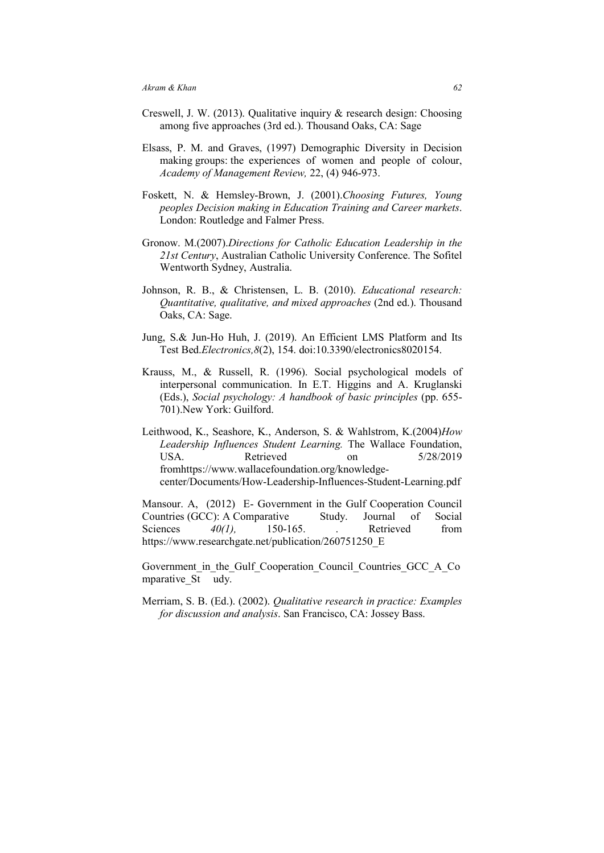- Creswell, J. W. (2013). Qualitative inquiry & research design: Choosing among five approaches (3rd ed.). Thousand Oaks, CA: Sage
- Elsass, P. M. and Graves, (1997) Demographic Diversity in Decision making groups: the experiences of women and people of colour, *Academy of Management Review,* 22, (4) 946-973.
- Foskett, N. & Hemsley-Brown, J. (2001).*Choosing Futures, Young peoples Decision making in Education Training and Career markets*. London: Routledge and Falmer Press.
- Gronow. M.(2007).*Directions for Catholic Education Leadership in the 21st Century*, Australian Catholic University Conference. The Sofitel Wentworth Sydney, Australia.
- Johnson, R. B., & Christensen, L. B. (2010). *Educational research: Quantitative, qualitative, and mixed approaches* (2nd ed.). Thousand Oaks, CA: Sage.
- Jung, S.& Jun-Ho Huh, J. (2019). An Efficient LMS Platform and Its Test Bed.*Electronics,8*(2), 154. doi:10.3390/electronics8020154.
- Krauss, M., & Russell, R. (1996). Social psychological models of interpersonal communication. In E.T. Higgins and A. Kruglanski (Eds.), *Social psychology: A handbook of basic principles* (pp. 655- 701).New York: Guilford.
- Leithwood, K., Seashore, K., Anderson, S. & Wahlstrom, K.(2004)*How Leadership Influences Student Learning.* The Wallace Foundation, USA. Retrieved on 5/28/2019 fromhttps://www.wallacefoundation.org/knowledgecenter/Documents/How-Leadership-Influences-Student-Learning.pdf

Mansour. A, (2012) E- Government in the Gulf Cooperation Council Countries (GCC): A Comparative Study. Journal of Social Sciences  $40(1)$ , 150-165. Retrieved from Sciences *40(1)*, 150-165, Retrieved from https://www.researchgate.net/publication/260751250\_E

Government in the Gulf Cooperation Council Countries GCC A Co mparative St udy.

Merriam, S. B. (Ed.). (2002). *Qualitative research in practice: Examples for discussion and analysis*. San Francisco, CA: Jossey Bass.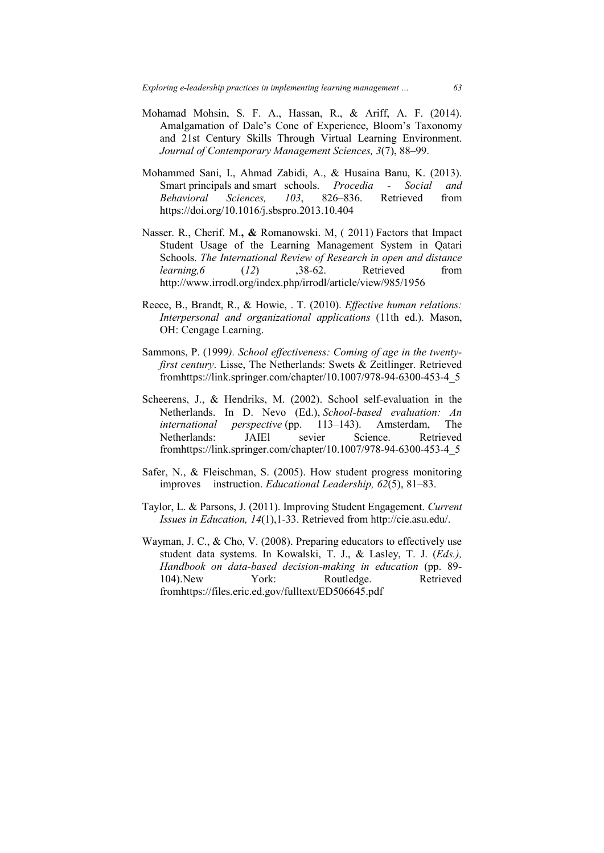- Mohamad Mohsin, S. F. A., Hassan, R., & Ariff, A. F. (2014). Amalgamation of Dale's Cone of Experience, Bloom's Taxonomy and 21st Century Skills Through Virtual Learning Environment. *Journal of Contemporary Management Sciences, 3*(7), 88–99.
- Mohammed Sani, I., Ahmad Zabidi, A., & Husaina Banu, K. (2013). Smart principals and smart schools. *Procedia - Social and Behavioral Sciences, 103*, 826–836. Retrieved from https://doi.org/10.1016/j.sbspro.2013.10.404
- Nasser. R., Cherif. M.**, &** Romanowski. M, ( 2011) Factors that Impact Student Usage of the Learning Management System in Qatari Schools. *The International Review of Research in open and distance learning, 6* (12) ,38-62. Retrieved from http://www.irrodl.org/index.php/irrodl/article/view/985/1956
- Reece, B., Brandt, R., & Howie, . T. (2010). *Effective human relations: Interpersonal and organizational applications* (11th ed.). Mason, OH: Cengage Learning.
- Sammons, P. (1999*). School effectiveness: Coming of age in the twentyfirst century*. Lisse, The Netherlands: Swets & Zeitlinger. Retrieved fromhttps://link.springer.com/chapter/10.1007/978-94-6300-453-4\_5
- Scheerens, J., & Hendriks, M. (2002). School self-evaluation in the Netherlands. In D. Nevo (Ed.), *School-based evaluation: An international perspective* (pp. 113–143). Amsterdam, The Netherlands: JAIEl sevier Science. Retrieved fromhttps://link.springer.com/chapter/10.1007/978-94-6300-453-4\_5
- Safer, N., & Fleischman, S. (2005). How student progress monitoring improves instruction. *Educational Leadership, 62*(5), 81–83.
- Taylor, L. & Parsons, J. (2011). Improving Student Engagement. *Current Issues in Education, 14*(1),1-33. Retrieved from http://cie.asu.edu/.
- Wayman, J. C., & Cho, V. (2008). Preparing educators to effectively use student data systems. In Kowalski, T. J., & Lasley, T. J. (*Eds.), Handbook on data-based decision-making in education* (pp. 89- 104). New York: Routledge. Retrieved fromhttps://files.eric.ed.gov/fulltext/ED506645.pdf